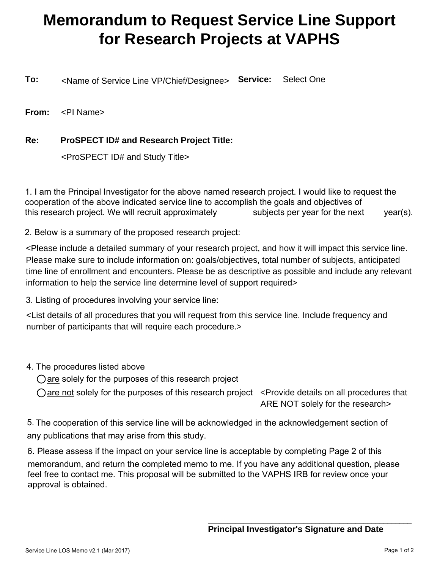## **Memorandum to Request Service Line Support for Research Projects at VAPHS**

**To:** <Name of Service Line VP/Chief/Designee> Service: Select One

**From:** <PI Name>

## **Re: ProSPECT ID# and Research Project Title:**

<ProSPECT ID# and Study Title>

1. I am the Principal Investigator for the above named research project. I would like to request the cooperation of the above indicated service line to accomplish the goals and objectives of this research project. We will recruit approximately subjects per year for the next year(s).

2. Below is a summary of the proposed research project:

<Please include a detailed summary of your research project, and how it will impact this service line. Please make sure to include information on: goals/objectives, total number of subjects, anticipated time line of enrollment and encounters. Please be as descriptive as possible and include any relevant information to help the service line determine level of support required>

3. Listing of procedures involving your service line:

<List details of all procedures that you will request from this service line. Include frequency and number of participants that will require each procedure.>

- 4. The procedures listed above
	- $\bigcirc$  are solely for the purposes of this research project

are not solely for the purposes of this research project  $\prec$  Provide details on all procedures that ARE NOT solely for the research>

5. The cooperation of this service line will be acknowledged in the acknowledgement section of any publications that may arise from this study.

6. Please assess if the impact on your service line is acceptable by completing Page 2 of this memorandum, and return the completed memo to me. If you have any additional question, please feel free to contact me. This proposal will be submitted to the VAPHS IRB for review once your approval is obtained.